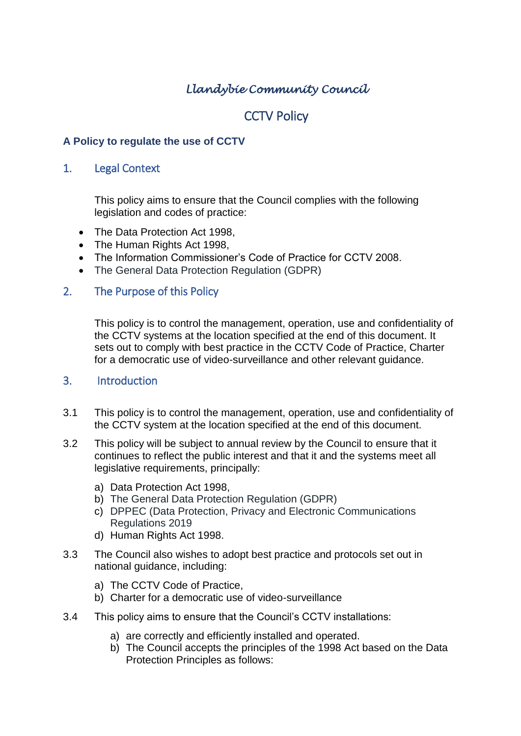# *Llandybie Community Council*

## **CCTV Policy**

#### **A Policy to regulate the use of CCTV**

#### 1. Legal Context

This policy aims to ensure that the Council complies with the following legislation and codes of practice:

- The Data Protection Act 1998,
- The Human Rights Act 1998.
- The Information Commissioner's Code of Practice for CCTV 2008.
- The General Data Protection Regulation (GDPR)

#### 2. The Purpose of this Policy

This policy is to control the management, operation, use and confidentiality of the CCTV systems at the location specified at the end of this document. It sets out to comply with best practice in the CCTV Code of Practice, Charter for a democratic use of video-surveillance and other relevant guidance.

#### 3. Introduction

- 3.1 This policy is to control the management, operation, use and confidentiality of the CCTV system at the location specified at the end of this document.
- 3.2 This policy will be subject to annual review by the Council to ensure that it continues to reflect the public interest and that it and the systems meet all legislative requirements, principally:
	- a) Data Protection Act 1998,
	- b) The General Data Protection Regulation (GDPR)
	- c) DPPEC (Data Protection, Privacy and Electronic Communications Regulations 2019
	- d) Human Rights Act 1998.
- 3.3 The Council also wishes to adopt best practice and protocols set out in national guidance, including:
	- a) The CCTV Code of Practice,
	- b) Charter for a democratic use of video-surveillance
- 3.4 This policy aims to ensure that the Council's CCTV installations:
	- a) are correctly and efficiently installed and operated.
	- b) The Council accepts the principles of the 1998 Act based on the Data Protection Principles as follows: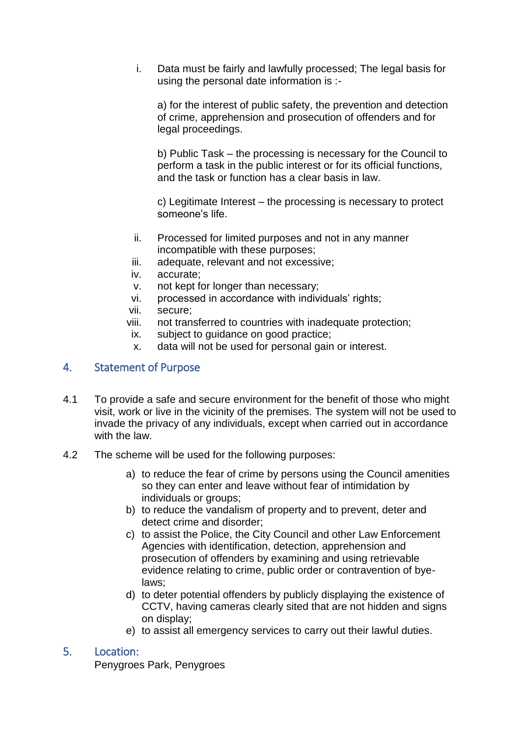i. Data must be fairly and lawfully processed; The legal basis for using the personal date information is :-

a) for the interest of public safety, the prevention and detection of crime, apprehension and prosecution of offenders and for legal proceedings.

b) Public Task – the processing is necessary for the Council to perform a task in the public interest or for its official functions, and the task or function has a clear basis in law.

c) Legitimate Interest – the processing is necessary to protect someone's life.

- ii. Processed for limited purposes and not in any manner incompatible with these purposes;
- iii. adequate, relevant and not excessive;
- iv. accurate;
- v. not kept for longer than necessary;
- vi. processed in accordance with individuals' rights;
- vii. secure;
- viii. not transferred to countries with inadequate protection;
- ix. subject to guidance on good practice;
- x. data will not be used for personal gain or interest.

### 4. Statement of Purpose

- 4.1 To provide a safe and secure environment for the benefit of those who might visit, work or live in the vicinity of the premises. The system will not be used to invade the privacy of any individuals, except when carried out in accordance with the law.
- 4.2 The scheme will be used for the following purposes:
	- a) to reduce the fear of crime by persons using the Council amenities so they can enter and leave without fear of intimidation by individuals or groups;
	- b) to reduce the vandalism of property and to prevent, deter and detect crime and disorder;
	- c) to assist the Police, the City Council and other Law Enforcement Agencies with identification, detection, apprehension and prosecution of offenders by examining and using retrievable evidence relating to crime, public order or contravention of byelaws;
	- d) to deter potential offenders by publicly displaying the existence of CCTV, having cameras clearly sited that are not hidden and signs on display;
	- e) to assist all emergency services to carry out their lawful duties.

#### 5. Location:

Penygroes Park, Penygroes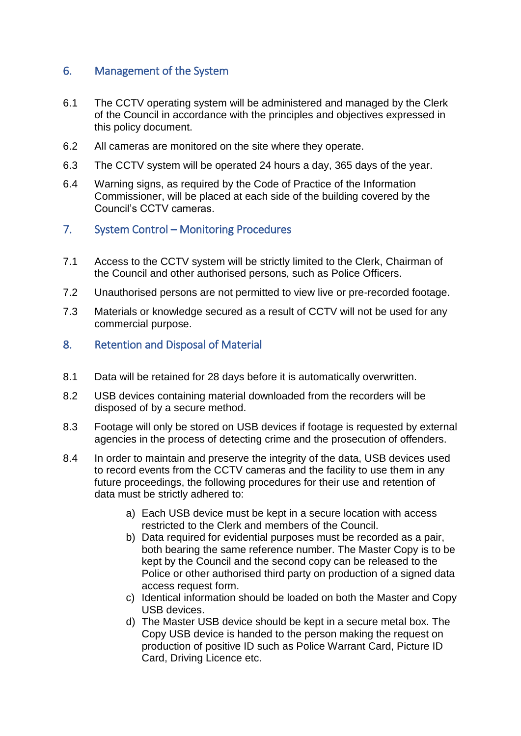### 6. Management of the System

- 6.1 The CCTV operating system will be administered and managed by the Clerk of the Council in accordance with the principles and objectives expressed in this policy document.
- 6.2 All cameras are monitored on the site where they operate.
- 6.3 The CCTV system will be operated 24 hours a day, 365 days of the year.
- 6.4 Warning signs, as required by the Code of Practice of the Information Commissioner, will be placed at each side of the building covered by the Council's CCTV cameras.
- 7. System Control Monitoring Procedures
- 7.1 Access to the CCTV system will be strictly limited to the Clerk, Chairman of the Council and other authorised persons, such as Police Officers.
- 7.2 Unauthorised persons are not permitted to view live or pre-recorded footage.
- 7.3 Materials or knowledge secured as a result of CCTV will not be used for any commercial purpose.
- 8. Retention and Disposal of Material
- 8.1 Data will be retained for 28 days before it is automatically overwritten.
- 8.2 USB devices containing material downloaded from the recorders will be disposed of by a secure method.
- 8.3 Footage will only be stored on USB devices if footage is requested by external agencies in the process of detecting crime and the prosecution of offenders.
- 8.4 In order to maintain and preserve the integrity of the data, USB devices used to record events from the CCTV cameras and the facility to use them in any future proceedings, the following procedures for their use and retention of data must be strictly adhered to:
	- a) Each USB device must be kept in a secure location with access restricted to the Clerk and members of the Council.
	- b) Data required for evidential purposes must be recorded as a pair, both bearing the same reference number. The Master Copy is to be kept by the Council and the second copy can be released to the Police or other authorised third party on production of a signed data access request form.
	- c) Identical information should be loaded on both the Master and Copy USB devices.
	- d) The Master USB device should be kept in a secure metal box. The Copy USB device is handed to the person making the request on production of positive ID such as Police Warrant Card, Picture ID Card, Driving Licence etc.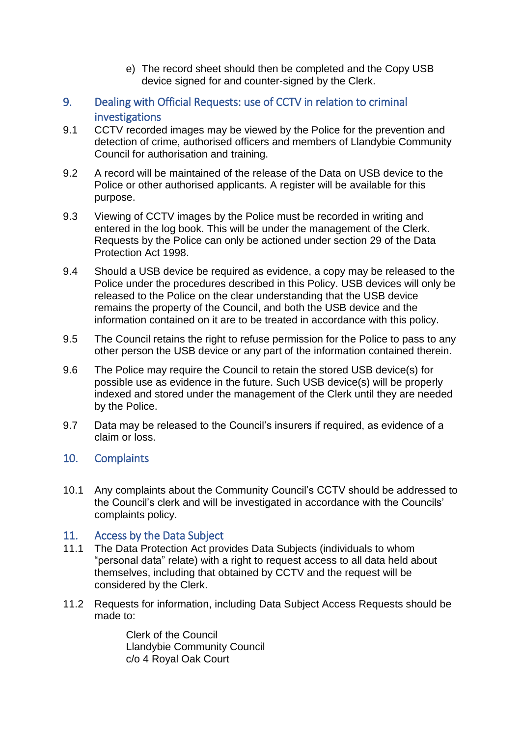- e) The record sheet should then be completed and the Copy USB device signed for and counter-signed by the Clerk.
- 9. Dealing with Official Requests: use of CCTV in relation to criminal investigations
- 9.1 CCTV recorded images may be viewed by the Police for the prevention and detection of crime, authorised officers and members of Llandybie Community Council for authorisation and training.
- 9.2 A record will be maintained of the release of the Data on USB device to the Police or other authorised applicants. A register will be available for this purpose.
- 9.3 Viewing of CCTV images by the Police must be recorded in writing and entered in the log book. This will be under the management of the Clerk. Requests by the Police can only be actioned under section 29 of the Data Protection Act 1998.
- 9.4 Should a USB device be required as evidence, a copy may be released to the Police under the procedures described in this Policy. USB devices will only be released to the Police on the clear understanding that the USB device remains the property of the Council, and both the USB device and the information contained on it are to be treated in accordance with this policy.
- 9.5 The Council retains the right to refuse permission for the Police to pass to any other person the USB device or any part of the information contained therein.
- 9.6 The Police may require the Council to retain the stored USB device(s) for possible use as evidence in the future. Such USB device(s) will be properly indexed and stored under the management of the Clerk until they are needed by the Police.
- 9.7 Data may be released to the Council's insurers if required, as evidence of a claim or loss.

#### 10. Complaints

10.1 Any complaints about the Community Council's CCTV should be addressed to the Council's clerk and will be investigated in accordance with the Councils' complaints policy.

#### 11. Access by the Data Subject

- 11.1 The Data Protection Act provides Data Subjects (individuals to whom "personal data" relate) with a right to request access to all data held about themselves, including that obtained by CCTV and the request will be considered by the Clerk.
- 11.2 Requests for information, including Data Subject Access Requests should be made to:

Clerk of the Council Llandybie Community Council c/o 4 Royal Oak Court